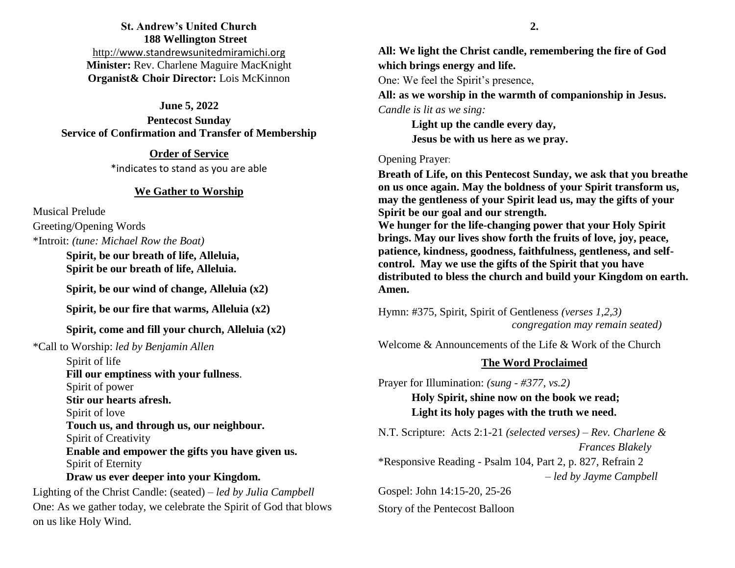# **St. Andrew's United Church 188 Wellington Street** http://[www.standrewsunitedmiramichi.org](http://www.standrewsunitedmiramichi.org/) **Minister:** Rev. Charlene Maguire MacKnight **Organist& Choir Director:** Lois McKinnon

#### **June 5, 2022**

**Pentecost Sunday Service of Confirmation and Transfer of Membership** 

> **Order of Service** \*indicates to stand as you are able

#### **We Gather to Worship**

Musical Prelude

Greeting/Opening Words

\*Introit: *(tune: Michael Row the Boat)*

**Spirit, be our breath of life, Alleluia, Spirit be our breath of life, Alleluia.**

**Spirit, be our wind of change, Alleluia (x2)**

**Spirit, be our fire that warms, Alleluia (x2)**

#### **Spirit, come and fill your church, Alleluia (x2)**

\*Call to Worship: *led by Benjamin Allen*

Spirit of life **Fill our emptiness with your fullness**. Spirit of power **Stir our hearts afresh.** Spirit of love **Touch us, and through us, our neighbour.** Spirit of Creativity **Enable and empower the gifts you have given us.** Spirit of Eternity

## **Draw us ever deeper into your Kingdom.**

Lighting of the Christ Candle: (seated) – *led by Julia Campbell* One: As we gather today, we celebrate the Spirit of God that blows on us like Holy Wind.

**All: We light the Christ candle, remembering the fire of God which brings energy and life.**

One: We feel the Spirit's presence,

**All: as we worship in the warmth of companionship in Jesus.** *Candle is lit as we sing:*

> **Light up the candle every day, Jesus be with us here as we pray.**

#### Opening Prayer:

**Breath of Life, on this Pentecost Sunday, we ask that you breathe on us once again. May the boldness of your Spirit transform us, may the gentleness of your Spirit lead us, may the gifts of your Spirit be our goal and our strength. We hunger for the life-changing power that your Holy Spirit brings. May our lives show forth the fruits of love, joy, peace, patience, kindness, goodness, faithfulness, gentleness, and selfcontrol. May we use the gifts of the Spirit that you have distributed to bless the church and build your Kingdom on earth. Amen.**

Hymn: #375, Spirit, Spirit of Gentleness *(verses 1,2,3) congregation may remain seated)*

Welcome & Announcements of the Life & Work of the Church

#### **The Word Proclaimed**

Prayer for Illumination: *(sung - #377, vs.2)*

**Holy Spirit, shine now on the book we read; Light its holy pages with the truth we need.**

N.T. Scripture: Acts 2:1-21 *(selected verses)* – *Rev. Charlene & Frances Blakely*

\*Responsive Reading - Psalm 104, Part 2, p. 827, Refrain 2 *– led by Jayme Campbell*

Gospel: John 14:15-20, 25-26 Story of the Pentecost Balloon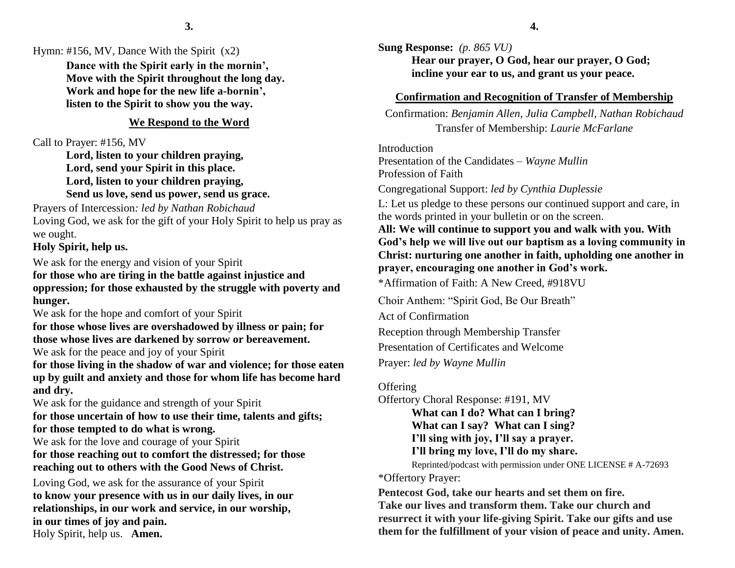Hymn: #156, MV, Dance With the Spirit  $(x2)$ 

**Dance with the Spirit early in the mornin', Move with the Spirit throughout the long day. Work and hope for the new life a-bornin', listen to the Spirit to show you the way.**

### **We Respond to the Word**

Call to Prayer: #156, MV

**Lord, listen to your children praying, Lord, send your Spirit in this place. Lord, listen to your children praying, Send us love, send us power, send us grace.**

Prayers of Intercession*: led by Nathan Robichaud* Loving God, we ask for the gift of your Holy Spirit to help us pray as we ought.

**Holy Spirit, help us.**

We ask for the energy and vision of your Spirit **for those who are tiring in the battle against injustice and oppression; for those exhausted by the struggle with poverty and hunger.**

We ask for the hope and comfort of your Spirit

**for those whose lives are overshadowed by illness or pain; for those whose lives are darkened by sorrow or bereavement.** We ask for the peace and joy of your Spirit

**for those living in the shadow of war and violence; for those eaten up by guilt and anxiety and those for whom life has become hard and dry.**

We ask for the guidance and strength of your Spirit **for those uncertain of how to use their time, talents and gifts; for those tempted to do what is wrong.**

We ask for the love and courage of your Spirit **for those reaching out to comfort the distressed; for those reaching out to others with the Good News of Christ.**

Loving God, we ask for the assurance of your Spirit **to know your presence with us in our daily lives, in our relationships, in our work and service, in our worship, in our times of joy and pain.**  Holy Spirit, help us. **Amen.**

**Sung Response:** *(p. 865 VU)* **Hear our prayer, O God, hear our prayer, O God; incline your ear to us, and grant us your peace.**

#### **Confirmation and Recognition of Transfer of Membership**

Confirmation: *Benjamin Allen, Julia Campbell, Nathan Robichaud* Transfer of Membership: *Laurie McFarlane*

Introduction Presentation of the Candidates – *Wayne Mullin* Profession of Faith

Congregational Support: *led by Cynthia Duplessie*

L: Let us pledge to these persons our continued support and care, in the words printed in your bulletin or on the screen.

**All: We will continue to support you and walk with you. With God's help we will live out our baptism as a loving community in Christ: nurturing one another in faith, upholding one another in prayer, encouraging one another in God's work.**

\*Affirmation of Faith: A New Creed, #918VU

Choir Anthem: "Spirit God, Be Our Breath" Act of Confirmation Reception through Membership Transfer Presentation of Certificates and Welcome Prayer: *led by Wayne Mullin*

**Offering** 

Offertory Choral Response: #191, MV

**What can I do? What can I bring? What can I say? What can I sing?**

**I'll sing with joy, I'll say a prayer.**

**I'll bring my love, I'll do my share.**

Reprinted/podcast with permission under ONE LICENSE # A-72693 \*Offertory Prayer:

**Pentecost God, take our hearts and set them on fire. Take our lives and transform them. Take our church and resurrect it with your life-giving Spirit. Take our gifts and use them for the fulfillment of your vision of peace and unity. Amen.**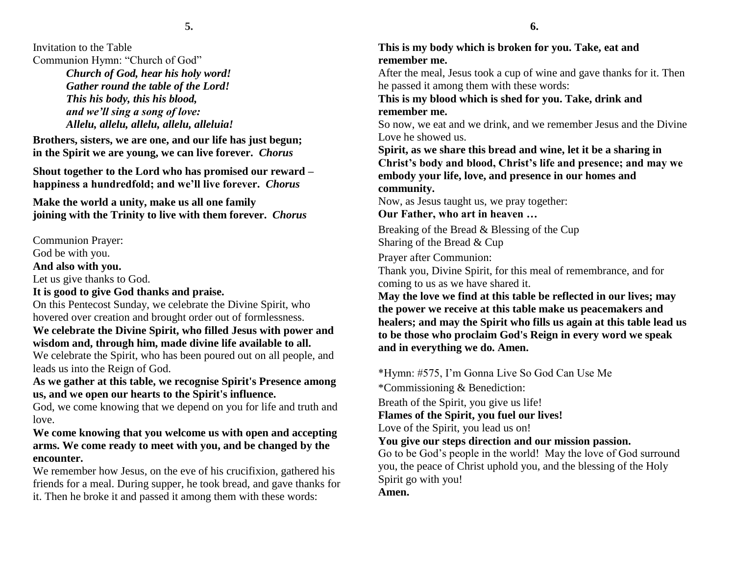Invitation to the Table Communion Hymn: "Church of God"

*Church of God, hear his holy word! Gather round the table of the Lord! This his body, this his blood, and we'll sing a song of love: Allelu, allelu, allelu, allelu, alleluia!*

**Brothers, sisters, we are one, and our life has just begun; in the Spirit we are young, we can live forever.** *Chorus*

**Shout together to the Lord who has promised our reward – happiness a hundredfold; and we'll live forever.** *Chorus*

**Make the world a unity, make us all one family joining with the Trinity to live with them forever.** *Chorus*

Communion Prayer:

God be with you.

**And also with you.**

Let us give thanks to God.

## **It is good to give God thanks and praise.**

On this Pentecost Sunday, we celebrate the Divine Spirit, who hovered over creation and brought order out of formlessness.

**We celebrate the Divine Spirit, who filled Jesus with power and wisdom and, through him, made divine life available to all.** 

We celebrate the Spirit, who has been poured out on all people, and leads us into the Reign of God.

## **As we gather at this table, we recognise Spirit's Presence among us, and we open our hearts to the Spirit's influence.**

God, we come knowing that we depend on you for life and truth and love.

## **We come knowing that you welcome us with open and accepting arms. We come ready to meet with you, and be changed by the encounter.**

We remember how Jesus, on the eve of his crucifixion, gathered his friends for a meal. During supper, he took bread, and gave thanks for it. Then he broke it and passed it among them with these words:

# **This is my body which is broken for you. Take, eat and remember me.**

After the meal, Jesus took a cup of wine and gave thanks for it. Then he passed it among them with these words:

# **This is my blood which is shed for you. Take, drink and remember me.**

So now, we eat and we drink, and we remember Jesus and the Divine Love he showed us.

**Spirit, as we share this bread and wine, let it be a sharing in Christ's body and blood, Christ's life and presence; and may we embody your life, love, and presence in our homes and community.**

Now, as Jesus taught us, we pray together:

**Our Father, who art in heaven …**

Breaking of the Bread & Blessing of the Cup Sharing of the Bread & Cup

Prayer after Communion:

Thank you, Divine Spirit, for this meal of remembrance, and for coming to us as we have shared it.

**May the love we find at this table be reflected in our lives; may the power we receive at this table make us peacemakers and healers; and may the Spirit who fills us again at this table lead us to be those who proclaim God's Reign in every word we speak and in everything we do. Amen.**

\*Hymn: #575, I'm Gonna Live So God Can Use Me \*Commissioning & Benediction: Breath of the Spirit, you give us life! **Flames of the Spirit, you fuel our lives!** Love of the Spirit, you lead us on! **You give our steps direction and our mission passion.** Go to be God's people in the world! May the love of God surround you, the peace of Christ uphold you, and the blessing of the Holy Spirit go with you!

**Amen.**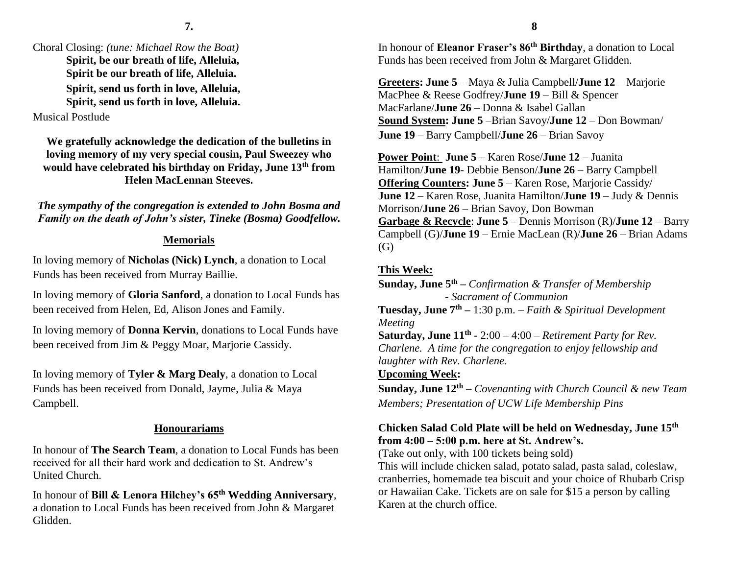# Choral Closing: *(tune: Michael Row the Boat)*

**Spirit, be our breath of life, Alleluia, Spirit be our breath of life, Alleluia. Spirit, send us forth in love, Alleluia, Spirit, send us forth in love, Alleluia.**

# Musical Postlude

**We gratefully acknowledge the dedication of the bulletins in loving memory of my very special cousin, Paul Sweezey who would have celebrated his birthday on Friday, June 13th from Helen MacLennan Steeves.**

*The sympathy of the congregation is extended to John Bosma and Family on the death of John's sister, Tineke (Bosma) Goodfellow.*

## **Memorials**

In loving memory of **Nicholas (Nick) Lynch**, a donation to Local Funds has been received from Murray Baillie.

In loving memory of **Gloria Sanford**, a donation to Local Funds has been received from Helen, Ed, Alison Jones and Family.

In loving memory of **Donna Kervin**, donations to Local Funds have been received from Jim & Peggy Moar, Marjorie Cassidy.

In loving memory of **Tyler & Marg Dealy**, a donation to Local Funds has been received from Donald, Jayme, Julia & Maya Campbell.

# **Honourariams**

In honour of **The Search Team**, a donation to Local Funds has been received for all their hard work and dedication to St. Andrew's United Church.

In honour of **Bill & Lenora Hilchey's 65th Wedding Anniversary**, a donation to Local Funds has been received from John & Margaret Glidden.

In honour of **Eleanor Fraser's 86th Birthday**, a donation to Local Funds has been received from John & Margaret Glidden.

**Greeters: June 5** – Maya & Julia Campbell/**June 12** – Marjorie MacPhee & Reese Godfrey/**June 19** – Bill & Spencer MacFarlane/**June 26** – Donna & Isabel Gallan **Sound System: June 5** –Brian Savoy/**June 12** – Don Bowman/ **June 19** – Barry Campbell/**June 26** – Brian Savoy

**Power Point**: **June 5** – Karen Rose/**June 12** – Juanita Hamilton/**June 19**- Debbie Benson/**June 26** – Barry Campbell **Offering Counters: June 5** – Karen Rose, Marjorie Cassidy/ **June 12** – Karen Rose, Juanita Hamilton/**June 19** – Judy & Dennis Morrison/**June 26** – Brian Savoy, Don Bowman **Garbage & Recycle**: **June 5** – Dennis Morrison (R)/**June 12** – Barry Campbell (G)/**June 19** – Ernie MacLean (R)/**June 26** – Brian Adams (G)

# **This Week:**

**Sunday, June 5th –** *Confirmation & Transfer of Membership - Sacrament of Communion* **Tuesday, June 7th –** 1:30 p.m. – *Faith & Spiritual Development Meeting* **Saturday, June 11th -** 2:00 – 4:00 – *Retirement Party for Rev. Charlene. A time for the congregation to enjoy fellowship and laughter with Rev. Charlene.* **Upcoming Week:**

**Sunday, June 12th** – *Covenanting with Church Council & new Team Members; Presentation of UCW Life Membership Pins*

# **Chicken Salad Cold Plate will be held on Wednesday, June 15th from 4:00 – 5:00 p.m. here at St. Andrew's.**

(Take out only, with 100 tickets being sold)

This will include chicken salad, potato salad, pasta salad, coleslaw, cranberries, homemade tea biscuit and your choice of Rhubarb Crisp or Hawaiian Cake. Tickets are on sale for \$15 a person by calling Karen at the church office.